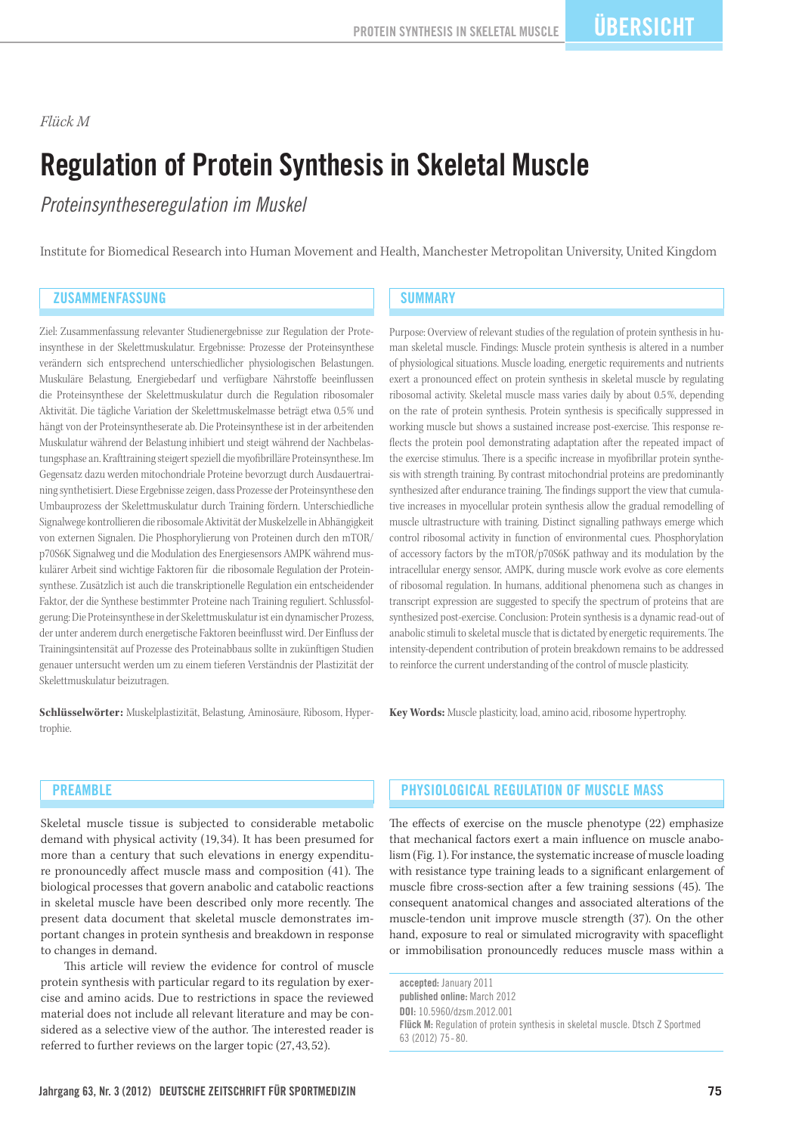#### *Flück M*

# Regulation of Protein Synthesis in Skeletal Muscle

*Proteinsyntheseregulation im Muskel*

Institute for Biomedical Research into Human Movement and Health, Manchester Metropolitan University, United Kingdom

#### ZUSAMMENFASSUNG NEWSPAPER SUMMARY

Ziel: Zusammenfassung relevanter Studienergebnisse zur Regulation der Proteinsynthese in der Skelettmuskulatur. Ergebnisse: Prozesse der Proteinsynthese verändern sich entsprechend unterschiedlicher physiologischen Belastungen. Muskuläre Belastung, Energiebedarf und verfügbare Nährstoffe beeinflussen die Proteinsynthese der Skelettmuskulatur durch die Regulation ribosomaler Aktivität. Die tägliche Variation der Skelettmuskelmasse beträgt etwa 0,5 % und hängt von der Proteinsyntheserate ab. Die Proteinsynthese ist in der arbeitenden Muskulatur während der Belastung inhibiert und steigt während der Nachbelastungsphase an. Krafttraining steigert speziell die myofibrilläre Proteinsynthese. Im Gegensatz dazu werden mitochondriale Proteine bevorzugt durch Ausdauertraining synthetisiert. Diese Ergebnisse zeigen, dass Prozesse der Proteinsynthese den Umbauprozess der Skelettmuskulatur durch Training fördern. Unterschiedliche Signalwege kontrollieren die ribosomale Aktivität der Muskelzelle in Abhängigkeit von externen Signalen. Die Phosphorylierung von Proteinen durch den mTOR/ p70S6K Signalweg und die Modulation des Energiesensors AMPK während muskulärer Arbeit sind wichtige Faktoren für die ribosomale Regulation der Proteinsynthese. Zusätzlich ist auch die transkriptionelle Regulation ein entscheidender Faktor, der die Synthese bestimmter Proteine nach Training reguliert. Schlussfolgerung: Die Proteinsynthese in der Skelettmuskulatur ist ein dynamischer Prozess, der unter anderem durch energetische Faktoren beeinflusst wird. Der Einfluss der Trainingsintensität auf Prozesse des Proteinabbaus sollte in zukünftigen Studien genauer untersucht werden um zu einem tieferen Verständnis der Plastizität der Skelettmuskulatur beizutragen.

**Schlüsselwörter:** Muskelplastizität, Belastung, Aminosäure, Ribosom, Hypertrophie.

Purpose: Overview of relevant studies of the regulation of protein synthesis in human skeletal muscle. Findings: Muscle protein synthesis is altered in a number of physiological situations. Muscle loading, energetic requirements and nutrients exert a pronounced effect on protein synthesis in skeletal muscle by regulating ribosomal activity. Skeletal muscle mass varies daily by about 0.5 %, depending on the rate of protein synthesis. Protein synthesis is specifically suppressed in working muscle but shows a sustained increase post-exercise. This response reflects the protein pool demonstrating adaptation after the repeated impact of the exercise stimulus. There is a specific increase in myofibrillar protein synthesis with strength training. By contrast mitochondrial proteins are predominantly synthesized after endurance training. The findings support the view that cumulative increases in myocellular protein synthesis allow the gradual remodelling of muscle ultrastructure with training. Distinct signalling pathways emerge which control ribosomal activity in function of environmental cues. Phosphorylation of accessory factors by the mTOR/p70S6K pathway and its modulation by the intracellular energy sensor, AMPK, during muscle work evolve as core elements of ribosomal regulation. In humans, additional phenomena such as changes in transcript expression are suggested to specify the spectrum of proteins that are synthesized post-exercise. Conclusion: Protein synthesis is a dynamic read-out of anabolic stimuli to skeletal muscle that is dictated by energetic requirements. The intensity-dependent contribution of protein breakdown remains to be addressed to reinforce the current understanding of the control of muscle plasticity.

**Key Words:** Muscle plasticity, load, amino acid, ribosome hypertrophy.

#### **PREAMBLE**

Skeletal muscle tissue is subjected to considerable metabolic demand with physical activity (19, 34). It has been presumed for more than a century that such elevations in energy expenditure pronouncedly affect muscle mass and composition (41). The biological processes that govern anabolic and catabolic reactions in skeletal muscle have been described only more recently. The present data document that skeletal muscle demonstrates important changes in protein synthesis and breakdown in response to changes in demand.

This article will review the evidence for control of muscle protein synthesis with particular regard to its regulation by exercise and amino acids. Due to restrictions in space the reviewed material does not include all relevant literature and may be considered as a selective view of the author. The interested reader is referred to further reviews on the larger topic (27, 43, 52).

#### Physiological regulation of muscle mass

The effects of exercise on the muscle phenotype (22) emphasize that mechanical factors exert a main influence on muscle anabolism (Fig. 1). For instance, the systematic increase of muscle loading with resistance type training leads to a significant enlargement of muscle fibre cross-section after a few training sessions (45). The consequent anatomical changes and associated alterations of the muscle-tendon unit improve muscle strength (37). On the other hand, exposure to real or simulated microgravity with spaceflight or immobilisation pronouncedly reduces muscle mass within a

accepted: January 2011 published online: March 2012 DOI: 10.5960/dzsm.2012.001 Flück M: Regulation of protein synthesis in skeletal muscle. Dtsch Z Sportmed 63 (2012) 75-80.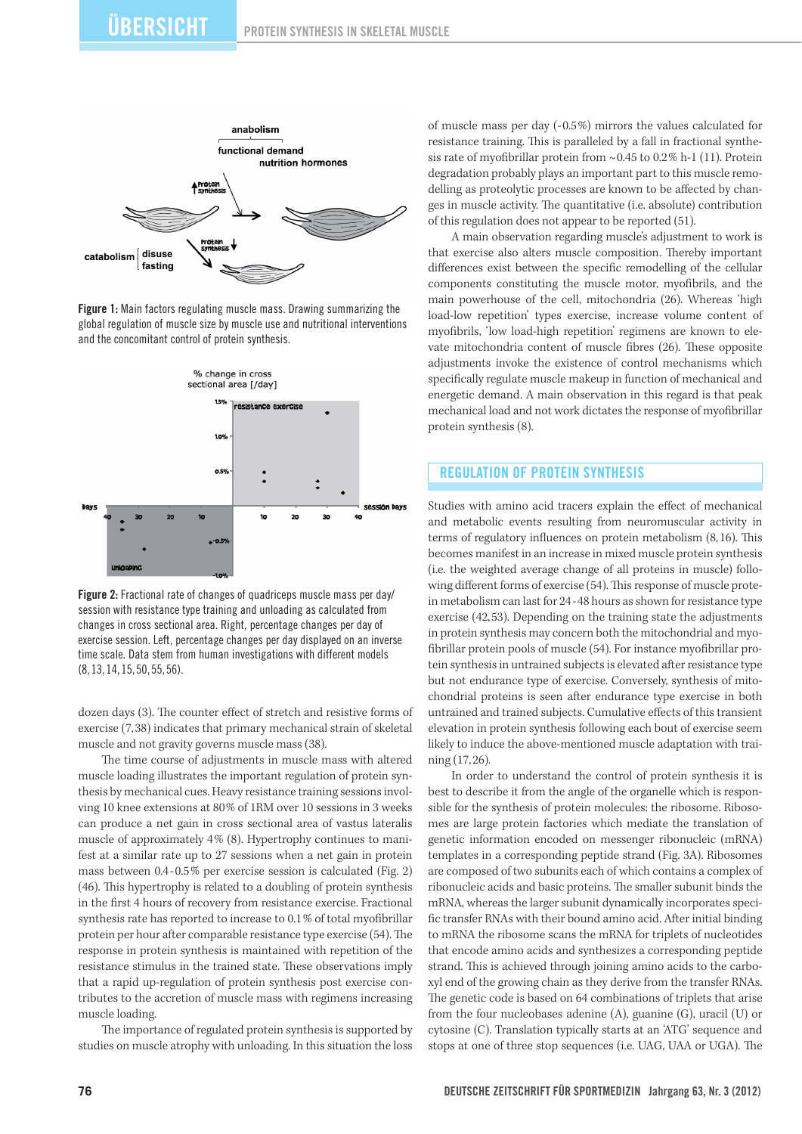

Figure 1: Main factors regulating muscle mass. Drawing summarizing the global regulation of muscle size by muscle use and nutritional interventions and the concomitant control of protein synthesis.



Figure 2: Fractional rate of changes of quadriceps muscle mass per day/ session with resistance type training and unloading as calculated from changes in cross sectional area. Right, percentage changes per day of exercise session. Left, percentage changes per day displayed on an inverse time scale. Data stem from human investigations with different models (8,13,14,15,50,55,56).

dozen days (3). The counter effect of stretch and resistive forms of exercise (7,38) indicates that primary mechanical strain of skeletal muscle and not gravity governs muscle mass (38).

The time course of adjustments in muscle mass with altered muscle loading illustrates the important regulation of protein synthesis by mechanical cues. Heavy resistance training sessions involving 10 knee extensions at 80% of 1RM over 10 sessions in 3 weeks can produce a net gain in cross sectional area of vastus lateralis muscle of approximately 4% (8). Hypertrophy continues to manifest at a similar rate up to 27 sessions when a net gain in protein mass between 0.4-0.5% per exercise session is calculated (Fig. 2) (46). This hypertrophy is related to a doubling of protein synthesis in the first 4 hours of recovery from resistance exercise. Fractional synthesis rate has reported to increase to 0.1% of total myofibrillar protein per hour after comparable resistance type exercise (54). The response in protein synthesis is maintained with repetition of the resistance stimulus in the trained state. These observations imply that a rapid up-regulation of protein synthesis post exercise contributes to the accretion of muscle mass with regimens increasing muscle loading.

The importance of regulated protein synthesis is supported by studies on muscle atrophy with unloading. In this situation the loss

of muscle mass per day (-0.5%) mirrors the values calculated for resistance training. This is paralleled by a fall in fractional synthesis rate of myofibrillar protein from  $\sim 0.45$  to  $0.2\%$  h-1 (11). Protein degradation probably plays an important part to this muscle remodelling as proteolytic processes are known to be affected by changes in muscle activity. The quantitative (i.e. absolute) contribution of this regulation does not appear to be reported (51).

A main observation regarding muscle's adjustment to work is that exercise also alters muscle composition. Thereby important differences exist between the specific remodelling of the cellular components constituting the muscle motor, myofibrils, and the main powerhouse of the cell, mitochondria (26). Whereas 'high load-low repetition' types exercise, increase volume content of myofibrils, 'low load-high repetition' regimens are known to elevate mitochondria content of muscle fibres (26). These opposite adjustments invoke the existence of control mechanisms which specifically regulate muscle makeup in function of mechanical and energetic demand. A main observation in this regard is that peak mechanical load and not work dictates the response of myofibrillar protein synthesis (8).

#### Regulation of protein synthesis

Studies with amino acid tracers explain the effect of mechanical and metabolic events resulting from neuromuscular activity in terms of regulatory influences on protein metabolism (8,16). This becomes manifest in an increase in mixed muscle protein synthesis (i.e. the weighted average change of all proteins in muscle) following different forms of exercise (54). This response of muscle protein metabolism can last for 24-48 hours as shown for resistance type exercise (42,53). Depending on the training state the adjustments in protein synthesis may concern both the mitochondrial and myofibrillar protein pools of muscle (54). For instance myofibrillar protein synthesis in untrained subjects is elevated after resistance type but not endurance type of exercise. Conversely, synthesis of mitochondrial proteins is seen after endurance type exercise in both untrained and trained subjects. Cumulative effects of this transient elevation in protein synthesis following each bout of exercise seem likely to induce the above-mentioned muscle adaptation with training (17,26).

In order to understand the control of protein synthesis it is best to describe it from the angle of the organelle which is responsible for the synthesis of protein molecules: the ribosome. Ribosomes are large protein factories which mediate the translation of genetic information encoded on messenger ribonucleic (mRNA) templates in a corresponding peptide strand (Fig. 3A). Ribosomes are composed of two subunits each of which contains a complex of ribonucleic acids and basic proteins. The smaller subunit binds the mRNA, whereas the larger subunit dynamically incorporates specific transfer RNAs with their bound amino acid. After initial binding to mRNA the ribosome scans the mRNA for triplets of nucleotides that encode amino acids and synthesizes a corresponding peptide strand. This is achieved through joining amino acids to the carboxyl end of the growing chain as they derive from the transfer RNAs. The genetic code is based on 64 combinations of triplets that arise from the four nucleobases adenine (A), guanine (G), uracil (U) or cytosine (C). Translation typically starts at an 'ATG' sequence and stops at one of three stop sequences (i.e. UAG, UAA or UGA). The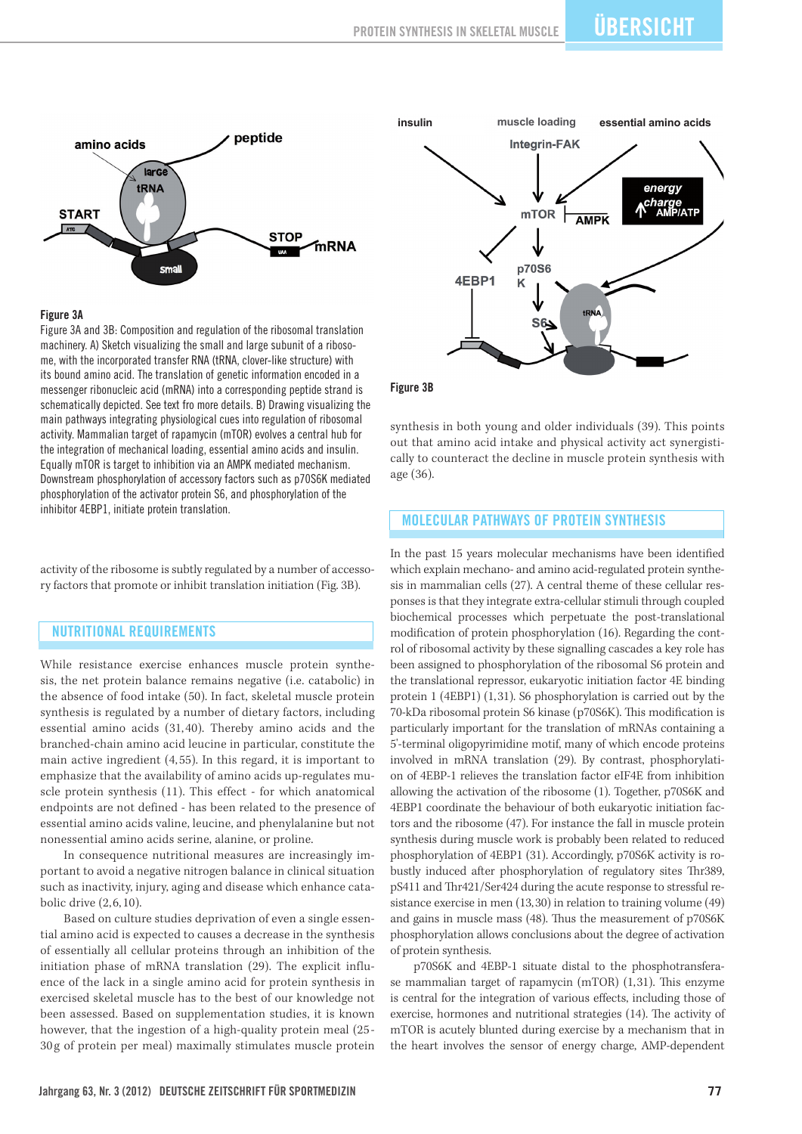

#### Figure 3A

Figure 3A and 3B: Composition and regulation of the ribosomal translation machinery. A) Sketch visualizing the small and large subunit of a ribosome, with the incorporated transfer RNA (tRNA, clover-like structure) with its bound amino acid. The translation of genetic information encoded in a messenger ribonucleic acid (mRNA) into a corresponding peptide strand is schematically depicted. See text fro more details. B) Drawing visualizing the main pathways integrating physiological cues into regulation of ribosomal activity. Mammalian target of rapamycin (mTOR) evolves a central hub for the integration of mechanical loading, essential amino acids and insulin. Equally mTOR is target to inhibition via an AMPK mediated mechanism. Downstream phosphorylation of accessory factors such as p70S6K mediated phosphorylation of the activator protein S6, and phosphorylation of the inhibitor 4EBP1, initiate protein translation.

activity of the ribosome is subtly regulated by a number of accessory factors that promote or inhibit translation initiation (Fig. 3B).

#### Nutritional requirements

While resistance exercise enhances muscle protein synthesis, the net protein balance remains negative (i.e. catabolic) in the absence of food intake (50). In fact, skeletal muscle protein synthesis is regulated by a number of dietary factors, including essential amino acids (31, 40). Thereby amino acids and the branched-chain amino acid leucine in particular, constitute the main active ingredient (4, 55). In this regard, it is important to emphasize that the availability of amino acids up-regulates muscle protein synthesis (11). This effect - for which anatomical endpoints are not defined - has been related to the presence of essential amino acids valine, leucine, and phenylalanine but not nonessential amino acids serine, alanine, or proline.

In consequence nutritional measures are increasingly important to avoid a negative nitrogen balance in clinical situation such as inactivity, injury, aging and disease which enhance catabolic drive (2, 6, 10).

Based on culture studies deprivation of even a single essential amino acid is expected to causes a decrease in the synthesis of essentially all cellular proteins through an inhibition of the initiation phase of mRNA translation (29). The explicit influence of the lack in a single amino acid for protein synthesis in exercised skeletal muscle has to the best of our knowledge not been assessed. Based on supplementation studies, it is known however, that the ingestion of a high-quality protein meal (25 - 30 g of protein per meal) maximally stimulates muscle protein



Figure 3B

synthesis in both young and older individuals (39). This points out that amino acid intake and physical activity act synergistically to counteract the decline in muscle protein synthesis with age (36).

### Molecular pathways of protein synthesis

In the past 15 years molecular mechanisms have been identified which explain mechano- and amino acid-regulated protein synthesis in mammalian cells (27). A central theme of these cellular responses is that they integrate extra-cellular stimuli through coupled biochemical processes which perpetuate the post-translational modification of protein phosphorylation (16). Regarding the control of ribosomal activity by these signalling cascades a key role has been assigned to phosphorylation of the ribosomal S6 protein and the translational repressor, eukaryotic initiation factor 4E binding protein 1 (4EBP1) (1,31). S6 phosphorylation is carried out by the 70-kDa ribosomal protein S6 kinase (p70S6K). This modification is particularly important for the translation of mRNAs containing a 5'-terminal oligopyrimidine motif, many of which encode proteins involved in mRNA translation (29). By contrast, phosphorylation of 4EBP-1 relieves the translation factor eIF4E from inhibition allowing the activation of the ribosome (1). Together, p70S6K and 4EBP1 coordinate the behaviour of both eukaryotic initiation factors and the ribosome (47). For instance the fall in muscle protein synthesis during muscle work is probably been related to reduced phosphorylation of 4EBP1 (31). Accordingly, p70S6K activity is robustly induced after phosphorylation of regulatory sites Thr389, pS411 and Thr421/Ser424 during the acute response to stressful resistance exercise in men (13,30) in relation to training volume (49) and gains in muscle mass (48). Thus the measurement of p70S6K phosphorylation allows conclusions about the degree of activation of protein synthesis.

p70S6K and 4EBP-1 situate distal to the phosphotransferase mammalian target of rapamycin (mTOR) (1,31). This enzyme is central for the integration of various effects, including those of exercise, hormones and nutritional strategies (14). The activity of mTOR is acutely blunted during exercise by a mechanism that in the heart involves the sensor of energy charge, AMP-dependent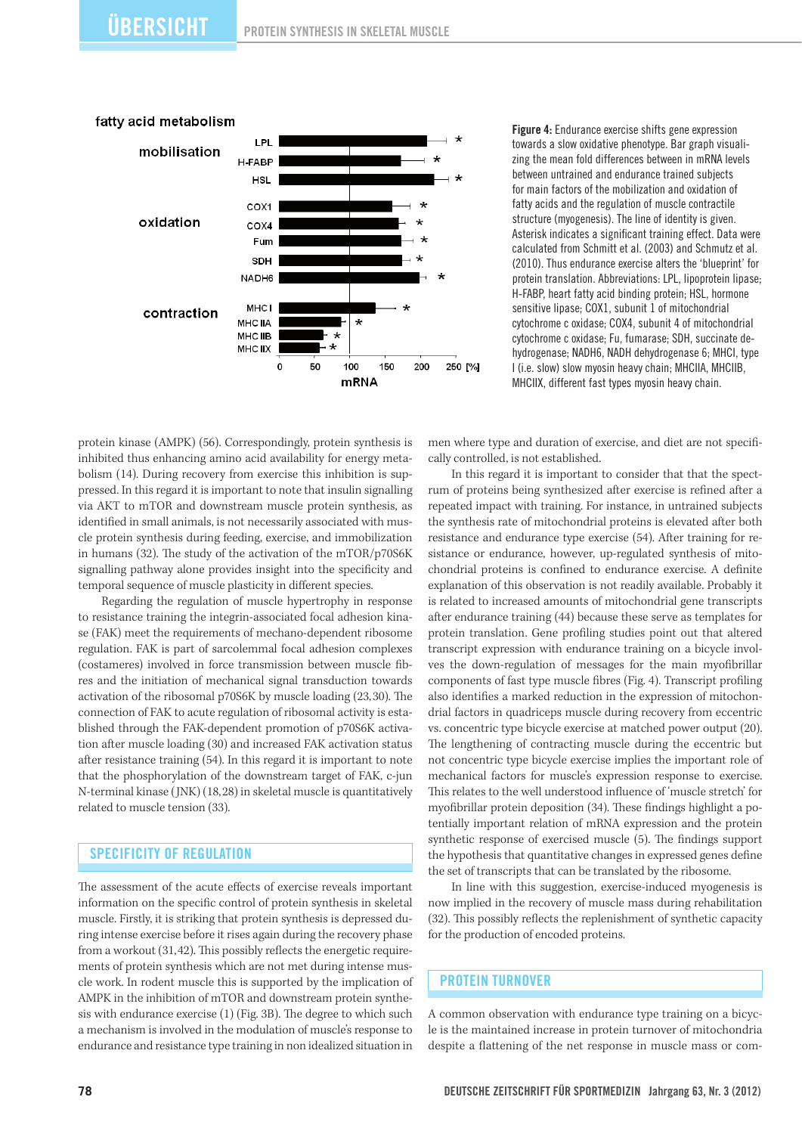

Figure 4: Endurance exercise shifts gene expression towards a slow oxidative phenotype. Bar graph visualizing the mean fold differences between in mRNA levels between untrained and endurance trained subjects for main factors of the mobilization and oxidation of fatty acids and the regulation of muscle contractile structure (myogenesis). The line of identity is given. Asterisk indicates a significant training effect. Data were calculated from Schmitt et al. (2003) and Schmutz et al. (2010). Thus endurance exercise alters the 'blueprint' for protein translation. Abbreviations: LPL, lipoprotein lipase; H-FABP, heart fatty acid binding protein; HSL, hormone sensitive lipase; COX1, subunit 1 of mitochondrial cytochrome c oxidase; COX4, subunit 4 of mitochondrial cytochrome c oxidase; Fu, fumarase; SDH, succinate dehydrogenase; NADH6, NADH dehydrogenase 6; MHCI, type I (i.e. slow) slow myosin heavy chain; MHCIIA, MHCIIB, MHCIIX, different fast types myosin heavy chain.

protein kinase (AMPK) (56). Correspondingly, protein synthesis is inhibited thus enhancing amino acid availability for energy metabolism (14). During recovery from exercise this inhibition is suppressed. In this regard it is important to note that insulin signalling via AKT to mTOR and downstream muscle protein synthesis, as identified in small animals, is not necessarily associated with muscle protein synthesis during feeding, exercise, and immobilization in humans (32). The study of the activation of the mTOR/p70S6K signalling pathway alone provides insight into the specificity and temporal sequence of muscle plasticity in different species.

Regarding the regulation of muscle hypertrophy in response to resistance training the integrin-associated focal adhesion kinase (FAK) meet the requirements of mechano-dependent ribosome regulation. FAK is part of sarcolemmal focal adhesion complexes (costameres) involved in force transmission between muscle fibres and the initiation of mechanical signal transduction towards activation of the ribosomal p70S6K by muscle loading (23,30). The connection of FAK to acute regulation of ribosomal activity is established through the FAK-dependent promotion of p70S6K activation after muscle loading (30) and increased FAK activation status after resistance training (54). In this regard it is important to note that the phosphorylation of the downstream target of FAK, c-jun N-terminal kinase (JNK) (18,28) in skeletal muscle is quantitatively related to muscle tension (33).

## SPECIFICITY OF REGULATION

The assessment of the acute effects of exercise reveals important information on the specific control of protein synthesis in skeletal muscle. Firstly, it is striking that protein synthesis is depressed during intense exercise before it rises again during the recovery phase from a workout (31,42). This possibly reflects the energetic requirements of protein synthesis which are not met during intense muscle work. In rodent muscle this is supported by the implication of AMPK in the inhibition of mTOR and downstream protein synthesis with endurance exercise (1) (Fig. 3B). The degree to which such a mechanism is involved in the modulation of muscle's response to endurance and resistance type training in non idealized situation in

men where type and duration of exercise, and diet are not specifically controlled, is not established.

In this regard it is important to consider that that the spectrum of proteins being synthesized after exercise is refined after a repeated impact with training. For instance, in untrained subjects the synthesis rate of mitochondrial proteins is elevated after both resistance and endurance type exercise (54). After training for resistance or endurance, however, up-regulated synthesis of mitochondrial proteins is confined to endurance exercise. A definite explanation of this observation is not readily available. Probably it is related to increased amounts of mitochondrial gene transcripts after endurance training (44) because these serve as templates for protein translation. Gene profiling studies point out that altered transcript expression with endurance training on a bicycle involves the down-regulation of messages for the main myofibrillar components of fast type muscle fibres (Fig. 4). Transcript profiling also identifies a marked reduction in the expression of mitochondrial factors in quadriceps muscle during recovery from eccentric vs. concentric type bicycle exercise at matched power output (20). The lengthening of contracting muscle during the eccentric but not concentric type bicycle exercise implies the important role of mechanical factors for muscle's expression response to exercise. This relates to the well understood influence of 'muscle stretch' for myofibrillar protein deposition (34). These findings highlight a potentially important relation of mRNA expression and the protein synthetic response of exercised muscle (5). The findings support the hypothesis that quantitative changes in expressed genes define the set of transcripts that can be translated by the ribosome.

In line with this suggestion, exercise-induced myogenesis is now implied in the recovery of muscle mass during rehabilitation (32). This possibly reflects the replenishment of synthetic capacity for the production of encoded proteins.

#### Protein turnover

A common observation with endurance type training on a bicycle is the maintained increase in protein turnover of mitochondria despite a flattening of the net response in muscle mass or com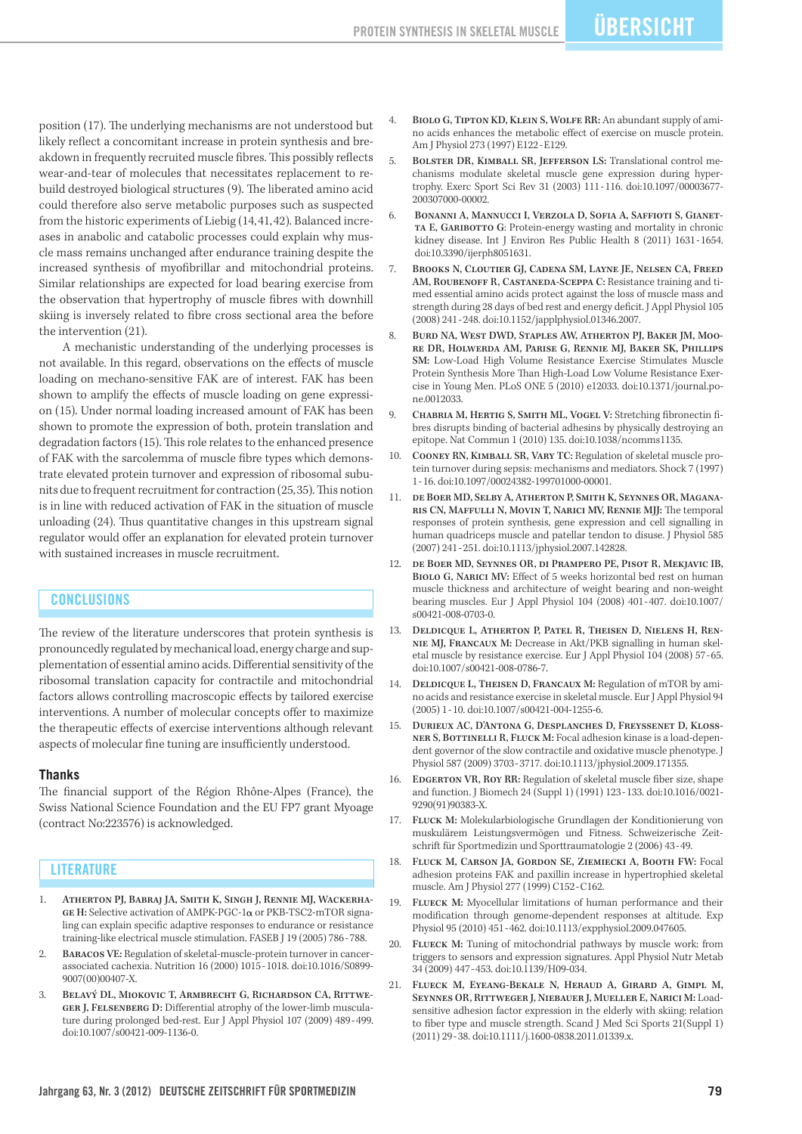position (17). The underlying mechanisms are not understood but likely reflect a concomitant increase in protein synthesis and breakdown in frequently recruited muscle fibres. This possibly reflects wear-and-tear of molecules that necessitates replacement to rebuild destroyed biological structures (9). The liberated amino acid could therefore also serve metabolic purposes such as suspected from the historic experiments of Liebig (14, 41, 42). Balanced increases in anabolic and catabolic processes could explain why muscle mass remains unchanged after endurance training despite the increased synthesis of myofibrillar and mitochondrial proteins. Similar relationships are expected for load bearing exercise from the observation that hypertrophy of muscle fibres with downhill skiing is inversely related to fibre cross sectional area the before the intervention (21).

A mechanistic understanding of the underlying processes is not available. In this regard, observations on the effects of muscle loading on mechano-sensitive FAK are of interest. FAK has been shown to amplify the effects of muscle loading on gene expression (15). Under normal loading increased amount of FAK has been shown to promote the expression of both, protein translation and degradation factors (15). This role relates to the enhanced presence of FAK with the sarcolemma of muscle fibre types which demonstrate elevated protein turnover and expression of ribosomal subunits due to frequent recruitment for contraction (25,35). This notion is in line with reduced activation of FAK in the situation of muscle unloading (24). Thus quantitative changes in this upstream signal regulator would offer an explanation for elevated protein turnover with sustained increases in muscle recruitment.

#### **CONCLUSIONS**

The review of the literature underscores that protein synthesis is pronouncedly regulated by mechanical load, energy charge and supplementation of essential amino acids. Differential sensitivity of the ribosomal translation capacity for contractile and mitochondrial factors allows controlling macroscopic effects by tailored exercise interventions. A number of molecular concepts offer to maximize the therapeutic effects of exercise interventions although relevant aspects of molecular fine tuning are insufficiently understood.

#### **Thanks**

The financial support of the Région Rhône-Alpes (France), the Swiss National Science Foundation and the EU FP7 grant Myoage (contract No:223576) is acknowledged.

#### **LITERATURE**

- 1. Atherton PJ, Babraj JA, Smith K, Singh J, Rennie MJ, Wackerha-GE H: Selective activation of AMPK-PGC-1 $\alpha$  or PKB-TSC2-mTOR signaling can explain specific adaptive responses to endurance or resistance training-like electrical muscle stimulation. FASEB J 19 (2005) 786-788.
- 2. Baracos VE: Regulation of skeletal-muscle-protein turnover in cancerassociated cachexia. Nutrition 16 (2000) 1015-1018. doi:10.1016/S0899- 9007(00)00407-X.
- 3. Belavý DL, Miokovic T, Armbrecht G, Richardson CA, Rittwe-GER J, FELSENBERG D: Differential atrophy of the lower-limb musculature during prolonged bed-rest. Eur J Appl Physiol 107 (2009) 489-499. doi:10.1007/s00421-009-1136-0.
- BIOLO G, TIPTON KD, KLEIN S, WOLFE RR: An abundant supply of amino acids enhances the metabolic effect of exercise on muscle protein. Am J Physiol 273 (1997) E122-E129.
- 5. Bolster DR, Kimball SR, Jefferson LS: Translational control mechanisms modulate skeletal muscle gene expression during hypertrophy. Exerc Sport Sci Rev 31 (2003) 111-116. doi:10.1097/00003677- 200307000-00002.
- 6. Bonanni A, Mannucci I, Verzola D, Sofia A, Saffioti S, Gianetta E, Garibotto G: Protein-energy wasting and mortality in chronic kidney disease. Int J Environ Res Public Health 8 (2011) 1631-1654. doi:10.3390/ijerph8051631.
	- 7. Brooks N, Cloutier GJ, Cadena SM, Layne JE, Nelsen CA, Freed AM, ROUBENOFF R, CASTANEDA-SCEPPA C: Resistance training and timed essential amino acids protect against the loss of muscle mass and strength during 28 days of bed rest and energy deficit. J Appl Physiol 105 (2008) 241-248. doi:10.1152/japplphysiol.01346.2007.
- 8. Burd NA, West DWD, Staples AW, Atherton PJ, Baker JM, Moore DR, Holwerda AM, Parise G, Rennie MJ, Baker SK, Phillips SM: Low-Load High Volume Resistance Exercise Stimulates Muscle Protein Synthesis More Than High-Load Low Volume Resistance Exercise in Young Men. PLoS ONE 5 (2010) e12033. doi:10.1371/journal.pone.0012033.
- 9. CHABRIA M, HERTIG S, SMITH ML, VOGEL V: Stretching fibronectin fibres disrupts binding of bacterial adhesins by physically destroying an epitope. Nat Commun 1 (2010) 135. doi:10.1038/ncomms1135.
- 10. Cooney RN, Kimball SR, Vary TC: Regulation of skeletal muscle protein turnover during sepsis: mechanisms and mediators. Shock 7 (1997) 1-16. doi:10.1097/00024382-199701000-00001.
- 11. de Boer MD, Selby A, Atherton P, Smith K, Seynnes OR, Maganaris CN, Maffulli N, Movin T, Narici MV, Rennie MJJ: The temporal responses of protein synthesis, gene expression and cell signalling in human quadriceps muscle and patellar tendon to disuse. J Physiol 585 (2007) 241-251. doi:10.1113/jphysiol.2007.142828.
- 12. de Boer MD, Seynnes OR, di Prampero PE, Pisot R, Mekjavic IB, Biolo G, Narici MV: Effect of 5 weeks horizontal bed rest on human muscle thickness and architecture of weight bearing and non-weight bearing muscles. Eur J Appl Physiol 104 (2008) 401-407. doi:10.1007/ s00421-008-0703-0.
- 13. Deldicque L, Atherton P, Patel R, Theisen D, Nielens H, Rennie MJ, Francaux M: Decrease in Akt/PKB signalling in human skeletal muscle by resistance exercise. Eur J Appl Physiol 104 (2008) 57-65. doi:10.1007/s00421-008-0786-7.
- 14. DELDICQUE L, THEISEN D, FRANCAUX M: Regulation of mTOR by amino acids and resistance exercise in skeletal muscle. Eur J Appl Physiol 94 (2005) 1-10. doi:10.1007/s00421-004-1255-6.
- 15. Durieux AC, D'Antona G, Desplanches D, Freyssenet D, Klossner S, Bottinelli R, Fluck M: Focal adhesion kinase is a load-dependent governor of the slow contractile and oxidative muscle phenotype. J Physiol 587 (2009) 3703-3717. doi:10.1113/jphysiol.2009.171355.
- 16. EDGERTON VR, ROY RR: Regulation of skeletal muscle fiber size, shape and function. J Biomech 24 (Suppl 1) (1991) 123-133. doi:10.1016/0021- 9290(91)90383-X.
- 17. Fluck M: Molekularbiologische Grundlagen der Konditionierung von muskulärem Leistungsvermögen und Fitness. Schweizerische Zeitschrift für Sportmedizin und Sporttraumatologie 2 (2006) 43-49.
- 18. Fluck M, Carson JA, Gordon SE, Ziemiecki A, Booth FW: Focal adhesion proteins FAK and paxillin increase in hypertrophied skeletal muscle. Am J Physiol 277 (1999) C152-C162.
- FLUECK M: Myocellular limitations of human performance and their modification through genome-dependent responses at altitude. Exp Physiol 95 (2010) 451-462. doi:10.1113/expphysiol.2009.047605.
- 20. FLUECK M: Tuning of mitochondrial pathways by muscle work: from triggers to sensors and expression signatures. Appl Physiol Nutr Metab 34 (2009) 447-453. doi:10.1139/H09-034.
- 21. Flueck M, Eyeang-Bekale N, Heraud A, Girard A, Gimpl M, Seynnes OR, Rittweger J, Niebauer J, Mueller E, Narici M: Loadsensitive adhesion factor expression in the elderly with skiing: relation to fiber type and muscle strength. Scand J Med Sci Sports 21(Suppl 1) (2011) 29-38. doi:10.1111/j.1600-0838.2011.01339.x.